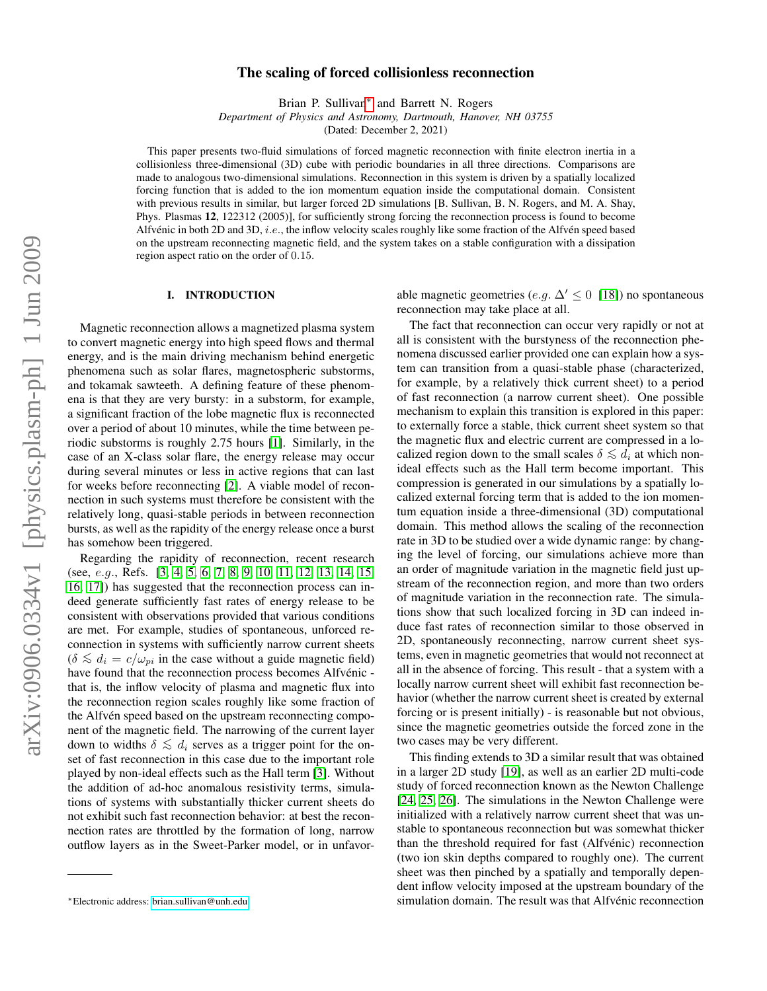# $arXiv:0906.0334v1$  [physics.plasm-ph] 1 Jun 2009 arXiv:0906.0334v1 [physics.plasm-ph] 1 Jun 2009

# The scaling of forced collisionless reconnection

Brian P. Sullivan<sup>\*</sup> and Barrett N. Rogers

*Department of Physics and Astronomy, Dartmouth, Hanover, NH 03755*

(Dated: December 2, 2021)

This paper presents two-fluid simulations of forced magnetic reconnection with finite electron inertia in a collisionless three-dimensional (3D) cube with periodic boundaries in all three directions. Comparisons are made to analogous two-dimensional simulations. Reconnection in this system is driven by a spatially localized forcing function that is added to the ion momentum equation inside the computational domain. Consistent with previous results in similar, but larger forced 2D simulations [B. Sullivan, B. N. Rogers, and M. A. Shay, Phys. Plasmas 12, 122312 (2005)], for sufficiently strong forcing the reconnection process is found to become Alfvénic in both 2D and 3D, *i.e.*, the inflow velocity scales roughly like some fraction of the Alfvén speed based on the upstream reconnecting magnetic field, and the system takes on a stable configuration with a dissipation region aspect ratio on the order of 0.15.

# I. INTRODUCTION

Magnetic reconnection allows a magnetized plasma system to convert magnetic energy into high speed flows and thermal energy, and is the main driving mechanism behind energetic phenomena such as solar flares, magnetospheric substorms, and tokamak sawteeth. A defining feature of these phenomena is that they are very bursty: in a substorm, for example, a significant fraction of the lobe magnetic flux is reconnected over a period of about 10 minutes, while the time between periodic substorms is roughly 2.75 hours [\[1\]](#page-7-0). Similarly, in the case of an X-class solar flare, the energy release may occur during several minutes or less in active regions that can last for weeks before reconnecting [\[2\]](#page-7-1). A viable model of reconnection in such systems must therefore be consistent with the relatively long, quasi-stable periods in between reconnection bursts, as well as the rapidity of the energy release once a burst has somehow been triggered.

Regarding the rapidity of reconnection, recent research (see, e.g., Refs. [\[3,](#page-7-2) [4,](#page-7-3) [5,](#page-7-4) [6,](#page-7-5) [7,](#page-7-6) [8,](#page-7-7) [9,](#page-7-8) [10,](#page-7-9) [11,](#page-7-10) [12,](#page-7-11) [13,](#page-7-12) [14,](#page-7-13) [15,](#page-8-0) [16,](#page-8-1) [17\]](#page-8-2)) has suggested that the reconnection process can indeed generate sufficiently fast rates of energy release to be consistent with observations provided that various conditions are met. For example, studies of spontaneous, unforced reconnection in systems with sufficiently narrow current sheets  $(\delta \lesssim d_i = c/\omega_{pi}$  in the case without a guide magnetic field) have found that the reconnection process becomes Alfvénic that is, the inflow velocity of plasma and magnetic flux into the reconnection region scales roughly like some fraction of the Alfvén speed based on the upstream reconnecting component of the magnetic field. The narrowing of the current layer down to widths  $\delta \lesssim d_i$  serves as a trigger point for the onset of fast reconnection in this case due to the important role played by non-ideal effects such as the Hall term [\[3\]](#page-7-2). Without the addition of ad-hoc anomalous resistivity terms, simulations of systems with substantially thicker current sheets do not exhibit such fast reconnection behavior: at best the reconnection rates are throttled by the formation of long, narrow outflow layers as in the Sweet-Parker model, or in unfavorable magnetic geometries (e.g.  $\Delta' \leq 0$  [\[18\]](#page-8-3)) no spontaneous reconnection may take place at all.

The fact that reconnection can occur very rapidly or not at all is consistent with the burstyness of the reconnection phenomena discussed earlier provided one can explain how a system can transition from a quasi-stable phase (characterized, for example, by a relatively thick current sheet) to a period of fast reconnection (a narrow current sheet). One possible mechanism to explain this transition is explored in this paper: to externally force a stable, thick current sheet system so that the magnetic flux and electric current are compressed in a localized region down to the small scales  $\delta \lesssim d_i$  at which nonideal effects such as the Hall term become important. This compression is generated in our simulations by a spatially localized external forcing term that is added to the ion momentum equation inside a three-dimensional (3D) computational domain. This method allows the scaling of the reconnection rate in 3D to be studied over a wide dynamic range: by changing the level of forcing, our simulations achieve more than an order of magnitude variation in the magnetic field just upstream of the reconnection region, and more than two orders of magnitude variation in the reconnection rate. The simulations show that such localized forcing in 3D can indeed induce fast rates of reconnection similar to those observed in 2D, spontaneously reconnecting, narrow current sheet systems, even in magnetic geometries that would not reconnect at all in the absence of forcing. This result - that a system with a locally narrow current sheet will exhibit fast reconnection behavior (whether the narrow current sheet is created by external forcing or is present initially) - is reasonable but not obvious, since the magnetic geometries outside the forced zone in the two cases may be very different.

This finding extends to 3D a similar result that was obtained in a larger 2D study [\[19\]](#page-8-4), as well as an earlier 2D multi-code study of forced reconnection known as the Newton Challenge [\[24,](#page-8-5) [25,](#page-8-6) [26\]](#page-8-7). The simulations in the Newton Challenge were initialized with a relatively narrow current sheet that was unstable to spontaneous reconnection but was somewhat thicker than the threshold required for fast (Alfvénic) reconnection (two ion skin depths compared to roughly one). The current sheet was then pinched by a spatially and temporally dependent inflow velocity imposed at the upstream boundary of the simulation domain. The result was that Alfvénic reconnection

<span id="page-0-0"></span><sup>∗</sup>Electronic address: [brian.sullivan@unh.edu](mailto:brian.sullivan@unh.edu)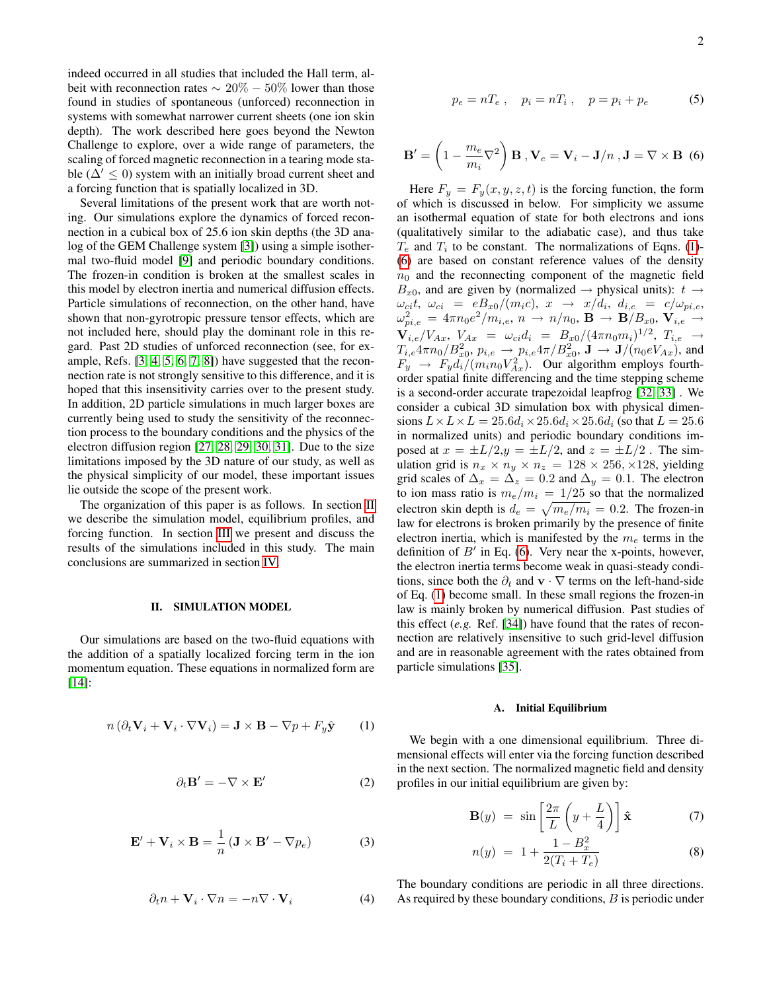indeed occurred in all studies that included the Hall term, albeit with reconnection rates  $\sim 20\% - 50\%$  lower than those found in studies of spontaneous (unforced) reconnection in systems with somewhat narrower current sheets (one ion skin depth). The work described here goes beyond the Newton Challenge to explore, over a wide range of parameters, the scaling of forced magnetic reconnection in a tearing mode stable ( $\Delta' \leq 0$ ) system with an initially broad current sheet and a forcing function that is spatially localized in 3D.

Several limitations of the present work that are worth noting. Our simulations explore the dynamics of forced reconnection in a cubical box of 25.6 ion skin depths (the 3D analog of the GEM Challenge system [\[3\]](#page-7-2)) using a simple isothermal two-fluid model [\[9\]](#page-7-8) and periodic boundary conditions. The frozen-in condition is broken at the smallest scales in this model by electron inertia and numerical diffusion effects. Particle simulations of reconnection, on the other hand, have shown that non-gyrotropic pressure tensor effects, which are not included here, should play the dominant role in this regard. Past 2D studies of unforced reconnection (see, for example, Refs. [\[3,](#page-7-2) [4,](#page-7-3) [5,](#page-7-4) [6,](#page-7-5) [7,](#page-7-6) [8\]](#page-7-7)) have suggested that the reconnection rate is not strongly sensitive to this difference, and it is hoped that this insensitivity carries over to the present study. In addition, 2D particle simulations in much larger boxes are currently being used to study the sensitivity of the reconnection process to the boundary conditions and the physics of the electron diffusion region [\[27,](#page-8-8) [28,](#page-9-0) [29,](#page-9-1) [30,](#page-9-2) [31\]](#page-9-3). Due to the size limitations imposed by the 3D nature of our study, as well as the physical simplicity of our model, these important issues lie outside the scope of the present work.

The organization of this paper is as follows. In section [II](#page-1-0) we describe the simulation model, equilibrium profiles, and forcing function. In section [III](#page-2-0) we present and discuss the results of the simulations included in this study. The main conclusions are summarized in section [IV.](#page-6-0)

### <span id="page-1-0"></span>II. SIMULATION MODEL

Our simulations are based on the two-fluid equations with the addition of a spatially localized forcing term in the ion momentum equation. These equations in normalized form are [\[14\]](#page-7-13):

<span id="page-1-1"></span>
$$
n\left(\partial_t \mathbf{V}_i + \mathbf{V}_i \cdot \nabla \mathbf{V}_i\right) = \mathbf{J} \times \mathbf{B} - \nabla p + F_y \hat{\mathbf{y}} \tag{1}
$$

$$
\partial_t \mathbf{B}' = -\nabla \times \mathbf{E}' \tag{2}
$$

$$
\mathbf{E}' + \mathbf{V}_i \times \mathbf{B} = \frac{1}{n} \left( \mathbf{J} \times \mathbf{B}' - \nabla p_e \right)
$$
 (3)

$$
\partial_t n + \mathbf{V}_i \cdot \nabla n = -n \nabla \cdot \mathbf{V}_i \tag{4}
$$

$$
p_e = nT_e
$$
,  $p_i = nT_i$ ,  $p = p_i + p_e$  (5)

<span id="page-1-2"></span>
$$
\mathbf{B}' = \left(1 - \frac{m_e}{m_i}\nabla^2\right)\mathbf{B}, \mathbf{V}_e = \mathbf{V}_i - \mathbf{J}/n, \mathbf{J} = \nabla \times \mathbf{B}
$$
 (6)

Here  $F_y = F_y(x, y, z, t)$  is the forcing function, the form of which is discussed in below. For simplicity we assume an isothermal equation of state for both electrons and ions (qualitatively similar to the adiabatic case), and thus take  $T_e$  and  $T_i$  to be constant. The normalizations of Eqns. [\(1\)](#page-1-1)-[\(6\)](#page-1-2) are based on constant reference values of the density  $n_0$  and the reconnecting component of the magnetic field  $B_{x0}$ , and are given by (normalized  $\rightarrow$  physical units):  $t \rightarrow$  $\omega_{ci}t, \ \omega_{ci} \ = \ eB_{x0}/(m_ic), \ x \ \rightarrow \ x/d_i, \ \underline{d_{i,e}} \ = \ c/\omega_{pi,e},$  $\omega_{pi,e}^2 \, = \, 4 \pi n_0 e^2 / m_{i,e}, \, n \, \rightarrow \, n / n_0, \, {\bf B} \, \rightarrow \, {\bf B} / B_{x0}, \, {\bf V}_{i,e} \, \rightarrow \,$  ${\bf V}_{i,e}/V_{Ax}, V_{Ax} = \omega_{ci}d_i = B_{x0}/(4\pi n_0 m_i)^{1/2}, T_{i,e} \rightarrow$  $T_{i,e}4\pi n_0/B_{x0}^2, p_{i,e} \to p_{i,e}4\pi/B_{x0}^2, \mathbf{J} \to \mathbf{J}/(n_0eV_{Ax}),$  and  $F_y \rightarrow F_y d_i/(m_i n_0 V_{Ax}^2)$ . Our algorithm employs fourthorder spatial finite differencing and the time stepping scheme is a second-order accurate trapezoidal leapfrog [\[32,](#page-9-4) [33\]](#page-9-5) . We consider a cubical 3D simulation box with physical dimensions  $L \times L \times L = 25.6d_i \times 25.6d_i \times 25.6d_i$  (so that  $L = 25.6$ ) in normalized units) and periodic boundary conditions imposed at  $x = \pm L/2, y = \pm L/2$ , and  $z = \pm L/2$ . The simulation grid is  $n_x \times n_y \times n_z = 128 \times 256, \times 128$ , yielding grid scales of  $\Delta_x = \tilde{\Delta_z} = 0.2$  and  $\Delta_y = 0.1$ . The electron to ion mass ratio is  $m_e/m_i = 1/25$  so that the normalized electron skin depth is  $d_e = \sqrt{m_e/m_i} = 0.2$ . The frozen-in law for electrons is broken primarily by the presence of finite electron inertia, which is manifested by the  $m_e$  terms in the definition of  $B'$  in Eq. [\(6\)](#page-1-2). Very near the x-points, however, the electron inertia terms become weak in quasi-steady conditions, since both the  $\partial_t$  and  $\mathbf{v} \cdot \nabla$  terms on the left-hand-side of Eq. [\(1\)](#page-1-1) become small. In these small regions the frozen-in law is mainly broken by numerical diffusion. Past studies of this effect (*e.g.* Ref. [\[34\]](#page-9-6)) have found that the rates of reconnection are relatively insensitive to such grid-level diffusion and are in reasonable agreement with the rates obtained from particle simulations [\[35\]](#page-9-7).

# A. Initial Equilibrium

We begin with a one dimensional equilibrium. Three dimensional effects will enter via the forcing function described in the next section. The normalized magnetic field and density profiles in our initial equilibrium are given by:

$$
\mathbf{B}(y) = \sin\left[\frac{2\pi}{L}\left(y + \frac{L}{4}\right)\right]\hat{\mathbf{x}} \tag{7}
$$

$$
n(y) = 1 + \frac{1 - B_x^2}{2(T_i + T_e)}
$$
 (8)

The boundary conditions are periodic in all three directions. As required by these boundary conditions, B is periodic under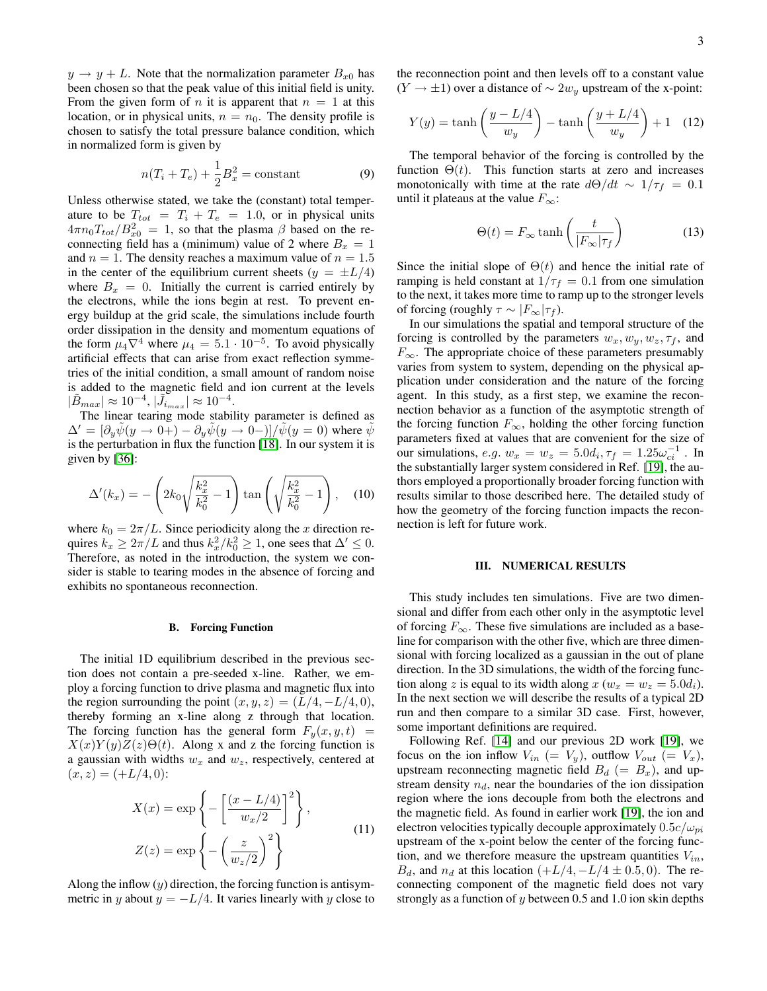$y \rightarrow y + L$ . Note that the normalization parameter  $B_{x0}$  has been chosen so that the peak value of this initial field is unity. From the given form of n it is apparent that  $n = 1$  at this location, or in physical units,  $n = n_0$ . The density profile is chosen to satisfy the total pressure balance condition, which in normalized form is given by

$$
n(T_i + T_e) + \frac{1}{2}B_x^2 = \text{constant}
$$
 (9)

Unless otherwise stated, we take the (constant) total temperature to be  $T_{tot} = T_i + T_e = 1.0$ , or in physical units  $4\pi n_0 T_{tot}/B_{x0}^2 = 1$ , so that the plasma  $\beta$  based on the reconnecting field has a (minimum) value of 2 where  $B_x = 1$ and  $n = 1$ . The density reaches a maximum value of  $n = 1.5$ in the center of the equilibrium current sheets ( $y = \pm L/4$ ) where  $B_x = 0$ . Initially the current is carried entirely by the electrons, while the ions begin at rest. To prevent energy buildup at the grid scale, the simulations include fourth order dissipation in the density and momentum equations of the form  $\mu_4 \nabla^4$  where  $\mu_4 = 5.1 \cdot 10^{-5}$ . To avoid physically artificial effects that can arise from exact reflection symmetries of the initial condition, a small amount of random noise is added to the magnetic field and ion current at the levels  $|\tilde{B}_{max}| \approx 10^{-4}, |\tilde{J}_{i_{max}}| \approx 10^{-4}.$ 

The linear tearing mode stability parameter is defined as  $\Delta' = [\partial_y \psi(y \to 0+) - \partial_y \psi(y \to 0-)]/\psi(y = 0)$  where  $\psi$ is the perturbation in flux the function [\[18\]](#page-8-3). In our system it is given by [\[36\]](#page-9-8):

$$
\Delta'(k_x) = -\left(2k_0\sqrt{\frac{k_x^2}{k_0^2} - 1}\right) \tan\left(\sqrt{\frac{k_x^2}{k_0^2} - 1}\right), \quad (10)
$$

where  $k_0 = 2\pi/L$ . Since periodicity along the x direction requires  $k_x \ge 2\pi/L$  and thus  $k_x^2/k_0^2 \ge 1$ , one sees that  $\Delta' \le 0$ . Therefore, as noted in the introduction, the system we consider is stable to tearing modes in the absence of forcing and exhibits no spontaneous reconnection.

### B. Forcing Function

The initial 1D equilibrium described in the previous section does not contain a pre-seeded x-line. Rather, we employ a forcing function to drive plasma and magnetic flux into the region surrounding the point  $(x, y, z) = (L/4, -L/4, 0)$ , thereby forming an x-line along z through that location. The forcing function has the general form  $F_y(x, y, t)$  =  $X(x)Y(y)Z(z)\Theta(t)$ . Along x and z the forcing function is a gaussian with widths  $w_x$  and  $w_z$ , respectively, centered at  $(x, z) = (+L/4, 0):$ 

$$
X(x) = \exp\left\{-\left[\frac{(x - L/4)}{w_x/2}\right]^2\right\},\
$$
  

$$
Z(z) = \exp\left\{-\left(\frac{z}{w_z/2}\right)^2\right\}
$$
 (11)

Along the inflow  $(y)$  direction, the forcing function is antisymmetric in y about  $y = -L/4$ . It varies linearly with y close to the reconnection point and then levels off to a constant value  $(Y \rightarrow \pm 1)$  over a distance of ~ 2w<sub>y</sub> upstream of the x-point:

$$
Y(y) = \tanh\left(\frac{y - L/4}{w_y}\right) - \tanh\left(\frac{y + L/4}{w_y}\right) + 1 \quad (12)
$$

The temporal behavior of the forcing is controlled by the function  $\Theta(t)$ . This function starts at zero and increases monotonically with time at the rate  $d\Theta/dt \sim 1/\tau_f = 0.1$ until it plateaus at the value  $F_{\infty}$ :

$$
\Theta(t) = F_{\infty} \tanh\left(\frac{t}{|F_{\infty}|\tau_f}\right) \tag{13}
$$

Since the initial slope of  $\Theta(t)$  and hence the initial rate of ramping is held constant at  $1/\tau_f = 0.1$  from one simulation to the next, it takes more time to ramp up to the stronger levels of forcing (roughly  $\tau \sim |F_{\infty}|\tau_f$ ).

In our simulations the spatial and temporal structure of the forcing is controlled by the parameters  $w_x, w_y, w_z, \tau_f$ , and  $F_{\infty}$ . The appropriate choice of these parameters presumably varies from system to system, depending on the physical application under consideration and the nature of the forcing agent. In this study, as a first step, we examine the reconnection behavior as a function of the asymptotic strength of the forcing function  $F_{\infty}$ , holding the other forcing function parameters fixed at values that are convenient for the size of our simulations,  $e.g. w_x = w_z = 5.0d_i, \tau_f = 1.25\omega_{ci}^{-1}$ . In the substantially larger system considered in Ref. [\[19\]](#page-8-4), the authors employed a proportionally broader forcing function with results similar to those described here. The detailed study of how the geometry of the forcing function impacts the reconnection is left for future work.

### <span id="page-2-0"></span>III. NUMERICAL RESULTS

This study includes ten simulations. Five are two dimensional and differ from each other only in the asymptotic level of forcing  $F_{\infty}$ . These five simulations are included as a baseline for comparison with the other five, which are three dimensional with forcing localized as a gaussian in the out of plane direction. In the 3D simulations, the width of the forcing function along z is equal to its width along  $x (w_x = w_z = 5.0d_i)$ . In the next section we will describe the results of a typical 2D run and then compare to a similar 3D case. First, however, some important definitions are required.

Following Ref. [\[14\]](#page-7-13) and our previous 2D work [\[19\]](#page-8-4), we focus on the ion inflow  $V_{in}$  (=  $V_{y}$ ), outflow  $V_{out}$  (=  $V_{x}$ ), upstream reconnecting magnetic field  $B_d$  (=  $B_x$ ), and upstream density  $n_d$ , near the boundaries of the ion dissipation region where the ions decouple from both the electrons and the magnetic field. As found in earlier work [\[19\]](#page-8-4), the ion and electron velocities typically decouple approximately  $0.5c/\omega_{pi}$ upstream of the x-point below the center of the forcing function, and we therefore measure the upstream quantities  $V_{in}$ ,  $B_d$ , and  $n_d$  at this location  $(+L/4, -L/4 \pm 0.5, 0)$ . The reconnecting component of the magnetic field does not vary strongly as a function of  $y$  between 0.5 and 1.0 ion skin depths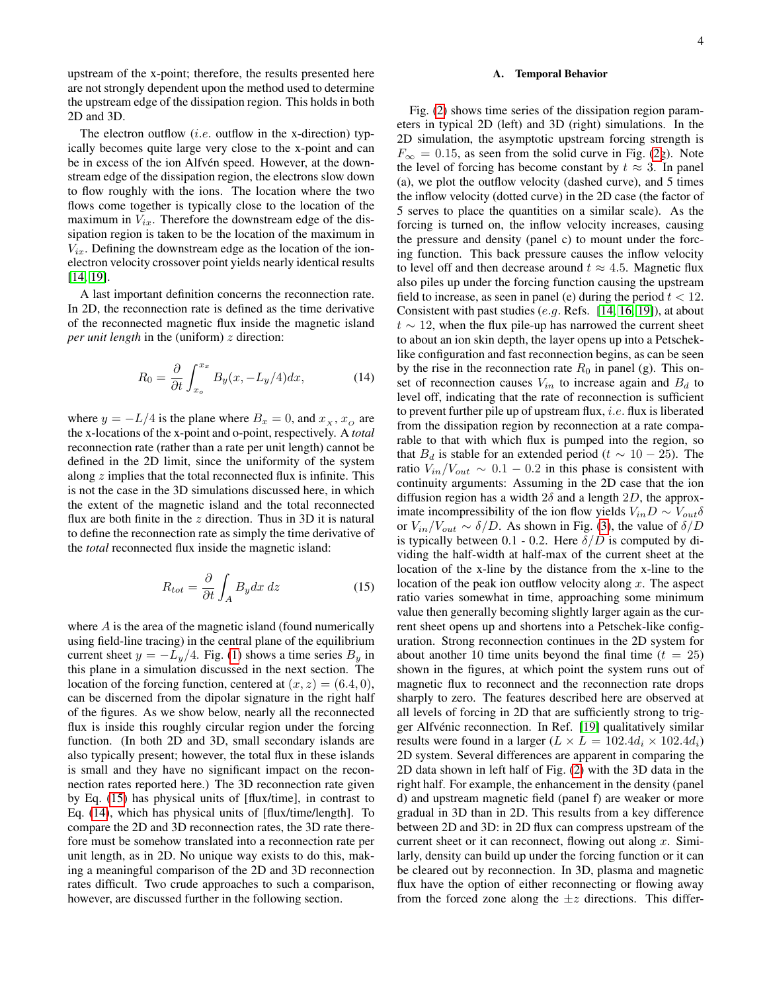upstream of the x-point; therefore, the results presented here are not strongly dependent upon the method used to determine the upstream edge of the dissipation region. This holds in both 2D and 3D.

The electron outflow (*i.e.* outflow in the x-direction) typically becomes quite large very close to the x-point and can be in excess of the ion Alfvén speed. However, at the downstream edge of the dissipation region, the electrons slow down to flow roughly with the ions. The location where the two flows come together is typically close to the location of the maximum in  $V_{ix}$ . Therefore the downstream edge of the dissipation region is taken to be the location of the maximum in  $V_{ix}$ . Defining the downstream edge as the location of the ionelectron velocity crossover point yields nearly identical results [\[14,](#page-7-13) [19\]](#page-8-4).

A last important definition concerns the reconnection rate. In 2D, the reconnection rate is defined as the time derivative of the reconnected magnetic flux inside the magnetic island *per unit length* in the (uniform) *z* direction:

<span id="page-3-1"></span>
$$
R_0 = \frac{\partial}{\partial t} \int_{x_o}^{x_x} B_y(x, -L_y/4) dx, \tag{14}
$$

where  $y = -L/4$  is the plane where  $B_x = 0$ , and  $x_x, x_o$  are the x-locations of the x-point and o-point, respectively. A *total* reconnection rate (rather than a rate per unit length) cannot be defined in the 2D limit, since the uniformity of the system along  $z$  implies that the total reconnected flux is infinite. This is not the case in the 3D simulations discussed here, in which the extent of the magnetic island and the total reconnected flux are both finite in the  $z$  direction. Thus in 3D it is natural to define the reconnection rate as simply the time derivative of the *total* reconnected flux inside the magnetic island:

<span id="page-3-0"></span>
$$
R_{tot} = \frac{\partial}{\partial t} \int_{A} B_y dx \, dz \tag{15}
$$

where A is the area of the magnetic island (found numerically using field-line tracing) in the central plane of the equilibrium current sheet  $y = -L_y/4$ . Fig. [\(1\)](#page-4-0) shows a time series  $B_y$  in this plane in a simulation discussed in the next section. The location of the forcing function, centered at  $(x, z) = (6.4, 0)$ , can be discerned from the dipolar signature in the right half of the figures. As we show below, nearly all the reconnected flux is inside this roughly circular region under the forcing function. (In both 2D and 3D, small secondary islands are also typically present; however, the total flux in these islands is small and they have no significant impact on the reconnection rates reported here.) The 3D reconnection rate given by Eq. [\(15\)](#page-3-0) has physical units of [flux/time], in contrast to Eq. [\(14\)](#page-3-1), which has physical units of [flux/time/length]. To compare the 2D and 3D reconnection rates, the 3D rate therefore must be somehow translated into a reconnection rate per unit length, as in 2D. No unique way exists to do this, making a meaningful comparison of the 2D and 3D reconnection rates difficult. Two crude approaches to such a comparison, however, are discussed further in the following section.

# A. Temporal Behavior

Fig. [\(2\)](#page-5-0) shows time series of the dissipation region parameters in typical 2D (left) and 3D (right) simulations. In the 2D simulation, the asymptotic upstream forcing strength is  $F_{\infty} = 0.15$ , as seen from the solid curve in Fig. [\(2g](#page-5-0)). Note the level of forcing has become constant by  $t \approx 3$ . In panel (a), we plot the outflow velocity (dashed curve), and 5 times the inflow velocity (dotted curve) in the 2D case (the factor of 5 serves to place the quantities on a similar scale). As the forcing is turned on, the inflow velocity increases, causing the pressure and density (panel c) to mount under the forcing function. This back pressure causes the inflow velocity to level off and then decrease around  $t \approx 4.5$ . Magnetic flux also piles up under the forcing function causing the upstream field to increase, as seen in panel (e) during the period  $t < 12$ . Consistent with past studies  $(e,q, \text{Refs. } [14, 16, 19])$  $(e,q, \text{Refs. } [14, 16, 19])$  $(e,q, \text{Refs. } [14, 16, 19])$  $(e,q, \text{Refs. } [14, 16, 19])$  $(e,q, \text{Refs. } [14, 16, 19])$ , at about  $t \sim 12$ , when the flux pile-up has narrowed the current sheet to about an ion skin depth, the layer opens up into a Petscheklike configuration and fast reconnection begins, as can be seen by the rise in the reconnection rate  $R_0$  in panel (g). This onset of reconnection causes  $V_{in}$  to increase again and  $B_d$  to level off, indicating that the rate of reconnection is sufficient to prevent further pile up of upstream flux,  $i.e.$  flux is liberated from the dissipation region by reconnection at a rate comparable to that with which flux is pumped into the region, so that  $B_d$  is stable for an extended period ( $t \sim 10 - 25$ ). The ratio  $V_{in}/V_{out} \sim 0.1 - 0.2$  in this phase is consistent with continuity arguments: Assuming in the 2D case that the ion diffusion region has a width  $2\delta$  and a length  $2D$ , the approximate incompressibility of the ion flow yields  $V_{in}D \sim V_{out}\delta$ or  $V_{in}/V_{out} \sim \delta/D$ . As shown in Fig. [\(3\)](#page-6-1), the value of  $\delta/D$ is typically between 0.1 - 0.2. Here  $\delta/D$  is computed by dividing the half-width at half-max of the current sheet at the location of the x-line by the distance from the x-line to the location of the peak ion outflow velocity along  $x$ . The aspect ratio varies somewhat in time, approaching some minimum value then generally becoming slightly larger again as the current sheet opens up and shortens into a Petschek-like configuration. Strong reconnection continues in the 2D system for about another 10 time units beyond the final time  $(t = 25)$ shown in the figures, at which point the system runs out of magnetic flux to reconnect and the reconnection rate drops sharply to zero. The features described here are observed at all levels of forcing in 2D that are sufficiently strong to trig-ger Alfvénic reconnection. In Ref. [\[19\]](#page-8-4) qualitatively similar results were found in a larger  $(L \times L = 102.4d_i \times 102.4d_i)$ 2D system. Several differences are apparent in comparing the 2D data shown in left half of Fig. [\(2\)](#page-5-0) with the 3D data in the right half. For example, the enhancement in the density (panel d) and upstream magnetic field (panel f) are weaker or more gradual in 3D than in 2D. This results from a key difference between 2D and 3D: in 2D flux can compress upstream of the current sheet or it can reconnect, flowing out along  $x$ . Similarly, density can build up under the forcing function or it can be cleared out by reconnection. In 3D, plasma and magnetic flux have the option of either reconnecting or flowing away from the forced zone along the  $\pm z$  directions. This differ-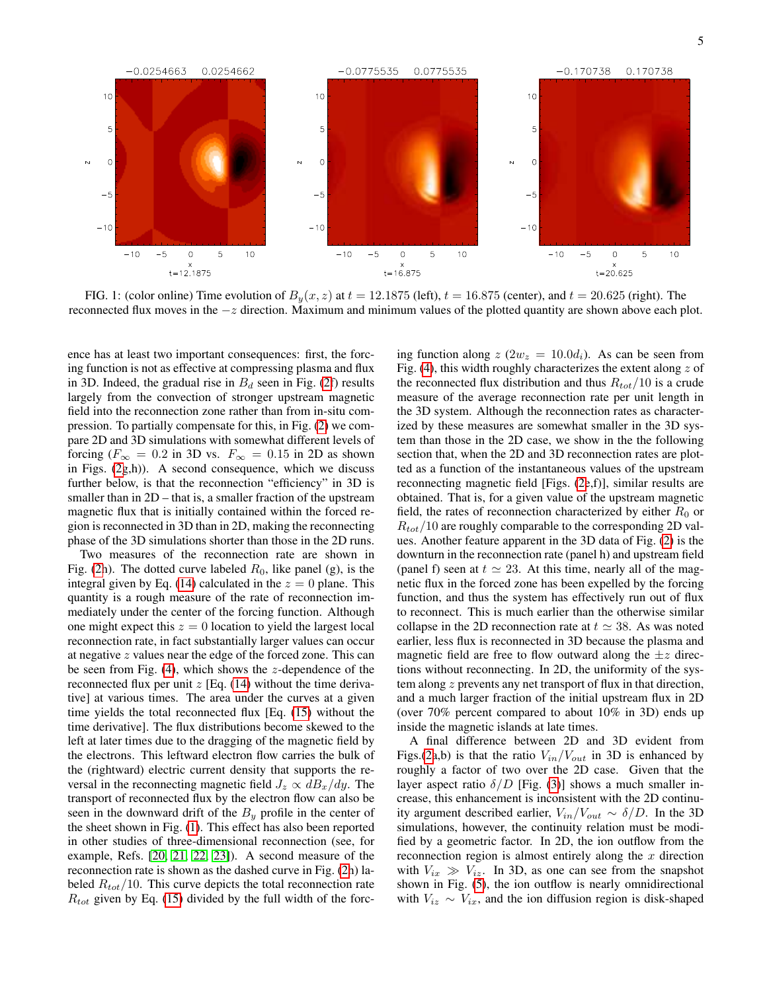

<span id="page-4-0"></span>FIG. 1: (color online) Time evolution of  $B_y(x, z)$  at  $t = 12.1875$  (left),  $t = 16.875$  (center), and  $t = 20.625$  (right). The reconnected flux moves in the  $-z$  direction. Maximum and minimum values of the plotted quantity are shown above each plot.

ence has at least two important consequences: first, the forcing function is not as effective at compressing plasma and flux in 3D. Indeed, the gradual rise in  $B_d$  seen in Fig. [\(2f](#page-5-0)) results largely from the convection of stronger upstream magnetic field into the reconnection zone rather than from in-situ compression. To partially compensate for this, in Fig. [\(2\)](#page-5-0) we compare 2D and 3D simulations with somewhat different levels of forcing ( $F_{\infty} = 0.2$  in 3D vs.  $F_{\infty} = 0.15$  in 2D as shown in Figs.  $(2g,h)$  $(2g,h)$ ). A second consequence, which we discuss further below, is that the reconnection "efficiency" in 3D is smaller than in 2D – that is, a smaller fraction of the upstream magnetic flux that is initially contained within the forced region is reconnected in 3D than in 2D, making the reconnecting phase of the 3D simulations shorter than those in the 2D runs.

Two measures of the reconnection rate are shown in Fig. [\(2h](#page-5-0)). The dotted curve labeled  $R_0$ , like panel (g), is the integral given by Eq. [\(14\)](#page-3-1) calculated in the  $z = 0$  plane. This quantity is a rough measure of the rate of reconnection immediately under the center of the forcing function. Although one might expect this  $z = 0$  location to yield the largest local reconnection rate, in fact substantially larger values can occur at negative z values near the edge of the forced zone. This can be seen from Fig.  $(4)$ , which shows the *z*-dependence of the reconnected flux per unit  $z$  [Eq. [\(14\)](#page-3-1) without the time derivative] at various times. The area under the curves at a given time yields the total reconnected flux [Eq. [\(15\)](#page-3-0) without the time derivative]. The flux distributions become skewed to the left at later times due to the dragging of the magnetic field by the electrons. This leftward electron flow carries the bulk of the (rightward) electric current density that supports the reversal in the reconnecting magnetic field  $J_z \propto dB_x/dy$ . The transport of reconnected flux by the electron flow can also be seen in the downward drift of the  $B_y$  profile in the center of the sheet shown in Fig. [\(1\)](#page-4-0). This effect has also been reported in other studies of three-dimensional reconnection (see, for example, Refs. [\[20,](#page-8-9) [21,](#page-8-10) [22,](#page-8-11) [23\]](#page-8-12)). A second measure of the reconnection rate is shown as the dashed curve in Fig. [\(2h](#page-5-0)) labeled  $R_{tot}/10$ . This curve depicts the total reconnection rate  $R_{tot}$  given by Eq. [\(15\)](#page-3-0) divided by the full width of the forcing function along  $z(2w_z = 10.0d_i)$ . As can be seen from Fig. [\(4\)](#page-6-2), this width roughly characterizes the extent along  $z$  of the reconnected flux distribution and thus  $R_{tot}/10$  is a crude measure of the average reconnection rate per unit length in the 3D system. Although the reconnection rates as characterized by these measures are somewhat smaller in the 3D system than those in the 2D case, we show in the the following section that, when the 2D and 3D reconnection rates are plotted as a function of the instantaneous values of the upstream reconnecting magnetic field [Figs. [\(2e](#page-5-0),f)], similar results are obtained. That is, for a given value of the upstream magnetic field, the rates of reconnection characterized by either  $R_0$  or  $R_{tot}/10$  are roughly comparable to the corresponding 2D values. Another feature apparent in the 3D data of Fig. [\(2\)](#page-5-0) is the downturn in the reconnection rate (panel h) and upstream field (panel f) seen at  $t \approx 23$ . At this time, nearly all of the magnetic flux in the forced zone has been expelled by the forcing function, and thus the system has effectively run out of flux to reconnect. This is much earlier than the otherwise similar collapse in the 2D reconnection rate at  $t \approx 38$ . As was noted earlier, less flux is reconnected in 3D because the plasma and magnetic field are free to flow outward along the  $\pm z$  directions without reconnecting. In 2D, the uniformity of the system along z prevents any net transport of flux in that direction, and a much larger fraction of the initial upstream flux in 2D (over 70% percent compared to about 10% in 3D) ends up inside the magnetic islands at late times.

A final difference between 2D and 3D evident from Figs.[\(2a](#page-5-0),b) is that the ratio  $V_{in}/V_{out}$  in 3D is enhanced by roughly a factor of two over the 2D case. Given that the layer aspect ratio  $\delta/D$  [Fig. [\(3\)](#page-6-1)] shows a much smaller increase, this enhancement is inconsistent with the 2D continuity argument described earlier,  $V_{in}/V_{out} \sim \delta/D$ . In the 3D simulations, however, the continuity relation must be modified by a geometric factor. In 2D, the ion outflow from the reconnection region is almost entirely along the  $x$  direction with  $V_{ix} \gg V_{iz}$ . In 3D, as one can see from the snapshot shown in Fig. [\(5\)](#page-7-14), the ion outflow is nearly omnidirectional with  $V_{iz} \sim V_{ix}$ , and the ion diffusion region is disk-shaped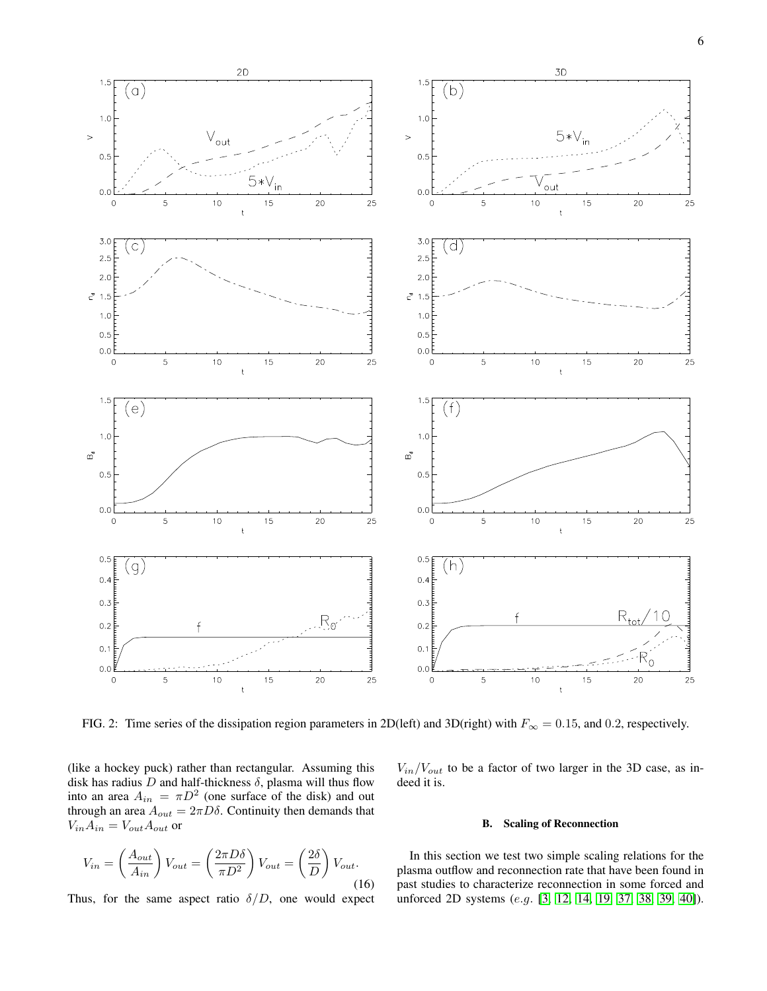

<span id="page-5-0"></span>FIG. 2: Time series of the dissipation region parameters in 2D(left) and 3D(right) with  $F_{\infty} = 0.15$ , and 0.2, respectively.

(like a hockey puck) rather than rectangular. Assuming this disk has radius  $D$  and half-thickness  $\delta$ , plasma will thus flow into an area  $A_{in} = \pi D^2$  (one surface of the disk) and out through an area  $A_{out} = 2\pi D\delta$ . Continuity then demands that  $V_{in}A_{in}=V_{out}A_{out}$  or

$$
V_{in} = \left(\frac{A_{out}}{A_{in}}\right) V_{out} = \left(\frac{2\pi D\delta}{\pi D^2}\right) V_{out} = \left(\frac{2\delta}{D}\right) V_{out}.
$$
\n(16)

Thus, for the same aspect ratio  $\delta/D$ , one would expect

 $V_{in}/V_{out}$  to be a factor of two larger in the 3D case, as indeed it is.

# B. Scaling of Reconnection

In this section we test two simple scaling relations for the plasma outflow and reconnection rate that have been found in past studies to characterize reconnection in some forced and unforced 2D systems (e.g. [\[3,](#page-7-2) [12,](#page-7-11) [14,](#page-7-13) [19,](#page-8-4) [37,](#page-9-9) [38,](#page-9-10) [39,](#page-9-11) [40\]](#page-9-12)).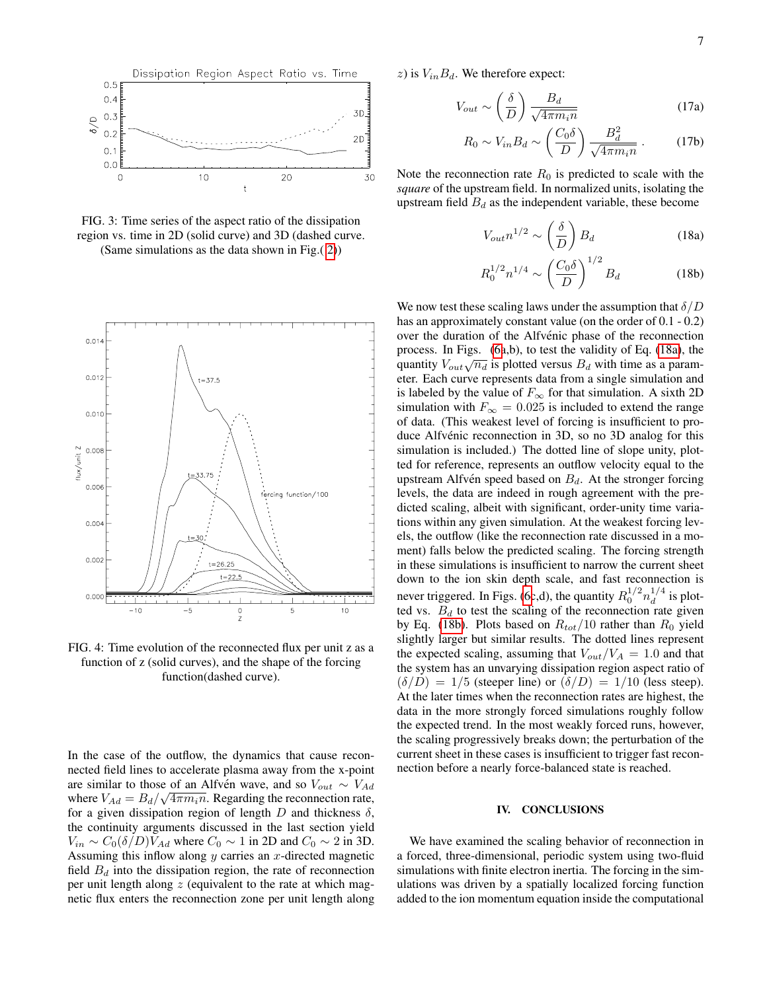

<span id="page-6-1"></span>FIG. 3: Time series of the aspect ratio of the dissipation region vs. time in 2D (solid curve) and 3D (dashed curve. (Same simulations as the data shown in Fig.( [2\)](#page-5-0))

 $0.01$  $0.012$  $= 37.5$  $0.01($ flux/unit Z  $0.008$ 33.75  $0.006$ function/100  $0.004$  $0.002$  $t = 26.25$  $0.000$  $-10$  $-5$  $\overline{5}$  $10$  $\frac{0}{Z}$ 

<span id="page-6-2"></span>FIG. 4: Time evolution of the reconnected flux per unit z as a function of z (solid curves), and the shape of the forcing function(dashed curve).

In the case of the outflow, the dynamics that cause reconnected field lines to accelerate plasma away from the x-point are similar to those of an Alfvén wave, and so  $V_{out} \sim V_{Ad}$ where  $V_{Ad} = B_d/\sqrt{4\pi m_i n}$ . Regarding the reconnection rate, for a given dissipation region of length D and thickness  $\delta$ , the continuity arguments discussed in the last section yield  $V_{in} \sim C_0(\delta/D)V_{Ad}$  where  $C_0 \sim 1$  in 2D and  $C_0 \sim 2$  in 3D. Assuming this inflow along  $y$  carries an  $x$ -directed magnetic field  $B_d$  into the dissipation region, the rate of reconnection per unit length along  $z$  (equivalent to the rate at which magnetic flux enters the reconnection zone per unit length along

z) is  $V_{in}B_d$ . We therefore expect:

$$
V_{out} \sim \left(\frac{\delta}{D}\right) \frac{B_d}{\sqrt{4\pi m_i n}}\tag{17a}
$$

$$
R_0 \sim V_{in} B_d \sim \left(\frac{C_0 \delta}{D}\right) \frac{B_d^2}{\sqrt{4\pi m_i n}}.
$$
 (17b)

Note the reconnection rate  $R_0$  is predicted to scale with the *square* of the upstream field. In normalized units, isolating the upstream field  $B_d$  as the independent variable, these become

<span id="page-6-3"></span>
$$
V_{out} n^{1/2} \sim \left(\frac{\delta}{D}\right) B_d \tag{18a}
$$

<span id="page-6-4"></span>
$$
R_0^{1/2} n^{1/4} \sim \left(\frac{C_0 \delta}{D}\right)^{1/2} B_d \tag{18b}
$$

We now test these scaling laws under the assumption that  $\delta/D$ has an approximately constant value (on the order of  $0.1 - 0.2$ ) over the duration of the Alfvénic phase of the reconnection process. In Figs. [\(6a](#page-8-13),b), to test the validity of Eq. [\(18a\)](#page-6-3), the quantity  $V_{out}\sqrt{n_d}$  is plotted versus  $B_d$  with time as a parameter. Each curve represents data from a single simulation and is labeled by the value of  $F_{\infty}$  for that simulation. A sixth 2D simulation with  $F_{\infty} = 0.025$  is included to extend the range of data. (This weakest level of forcing is insufficient to produce Alfvénic reconnection in 3D, so no 3D analog for this simulation is included.) The dotted line of slope unity, plotted for reference, represents an outflow velocity equal to the upstream Alfvén speed based on  $B_d$ . At the stronger forcing levels, the data are indeed in rough agreement with the predicted scaling, albeit with significant, order-unity time variations within any given simulation. At the weakest forcing levels, the outflow (like the reconnection rate discussed in a moment) falls below the predicted scaling. The forcing strength in these simulations is insufficient to narrow the current sheet down to the ion skin depth scale, and fast reconnection is never triggered. In Figs. [\(6c](#page-8-13),d), the quantity  $R_0^{1/2} n_d^{1/4}$  $d^{1/4}$  is plotted vs.  $B_d$  to test the scaling of the reconnection rate given by Eq. [\(18b\)](#page-6-4). Plots based on  $R_{tot}/10$  rather than  $R_0$  yield slightly larger but similar results. The dotted lines represent the expected scaling, assuming that  $V_{out}/V_A = 1.0$  and that the system has an unvarying dissipation region aspect ratio of  $(\delta/D) = 1/5$  (steeper line) or  $(\delta/D) = 1/10$  (less steep). At the later times when the reconnection rates are highest, the data in the more strongly forced simulations roughly follow the expected trend. In the most weakly forced runs, however, the scaling progressively breaks down; the perturbation of the current sheet in these cases is insufficient to trigger fast reconnection before a nearly force-balanced state is reached.

### <span id="page-6-0"></span>IV. CONCLUSIONS

We have examined the scaling behavior of reconnection in a forced, three-dimensional, periodic system using two-fluid simulations with finite electron inertia. The forcing in the simulations was driven by a spatially localized forcing function added to the ion momentum equation inside the computational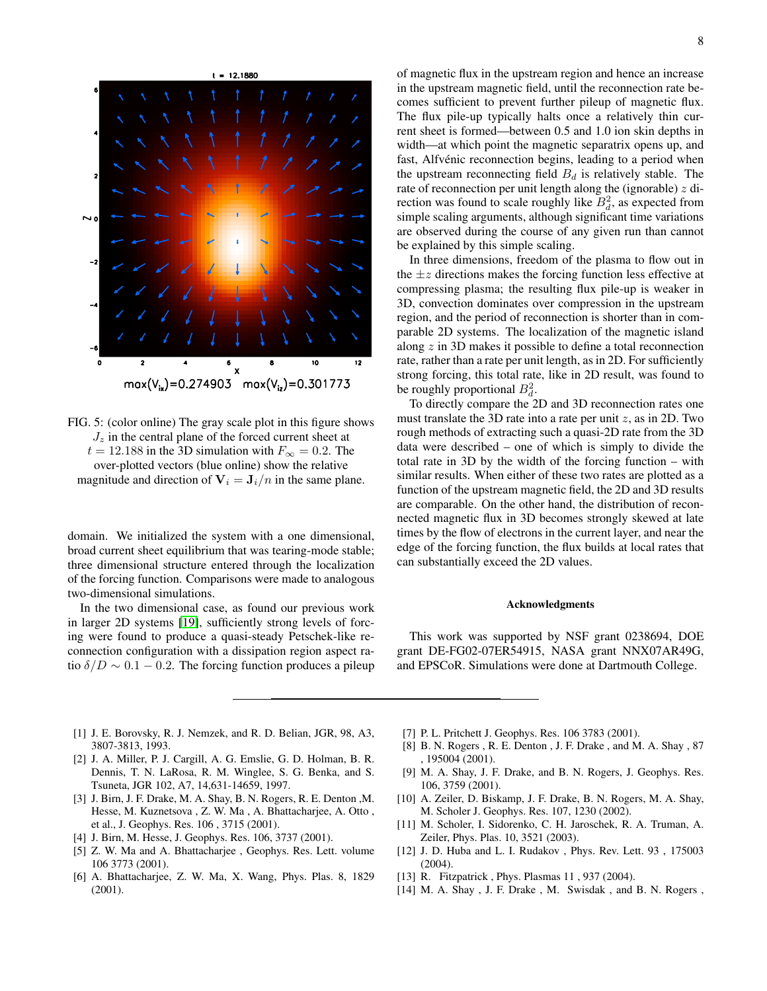

<span id="page-7-14"></span>FIG. 5: (color online) The gray scale plot in this figure shows  $J_z$  in the central plane of the forced current sheet at  $t = 12.188$  in the 3D simulation with  $F_{\infty} = 0.2$ . The over-plotted vectors (blue online) show the relative magnitude and direction of  $V_i = J_i/n$  in the same plane.

domain. We initialized the system with a one dimensional, broad current sheet equilibrium that was tearing-mode stable; three dimensional structure entered through the localization of the forcing function. Comparisons were made to analogous two-dimensional simulations.

In the two dimensional case, as found our previous work in larger 2D systems [\[19\]](#page-8-4), sufficiently strong levels of forcing were found to produce a quasi-steady Petschek-like reconnection configuration with a dissipation region aspect ratio  $\delta/D \sim 0.1 - 0.2$ . The forcing function produces a pileup of magnetic flux in the upstream region and hence an increase in the upstream magnetic field, until the reconnection rate becomes sufficient to prevent further pileup of magnetic flux. The flux pile-up typically halts once a relatively thin current sheet is formed—between 0.5 and 1.0 ion skin depths in width—at which point the magnetic separatrix opens up, and fast, Alfvénic reconnection begins, leading to a period when the upstream reconnecting field  $B_d$  is relatively stable. The rate of reconnection per unit length along the (ignorable)  $z$  direction was found to scale roughly like  $B_d^2$ , as expected from simple scaling arguments, although significant time variations are observed during the course of any given run than cannot be explained by this simple scaling.

In three dimensions, freedom of the plasma to flow out in the  $\pm z$  directions makes the forcing function less effective at compressing plasma; the resulting flux pile-up is weaker in 3D, convection dominates over compression in the upstream region, and the period of reconnection is shorter than in comparable 2D systems. The localization of the magnetic island along z in 3D makes it possible to define a total reconnection rate, rather than a rate per unit length, as in 2D. For sufficiently strong forcing, this total rate, like in 2D result, was found to be roughly proportional  $B_d^2$ .

To directly compare the 2D and 3D reconnection rates one must translate the 3D rate into a rate per unit  $z$ , as in 2D. Two rough methods of extracting such a quasi-2D rate from the 3D data were described – one of which is simply to divide the total rate in 3D by the width of the forcing function – with similar results. When either of these two rates are plotted as a function of the upstream magnetic field, the 2D and 3D results are comparable. On the other hand, the distribution of reconnected magnetic flux in 3D becomes strongly skewed at late times by the flow of electrons in the current layer, and near the edge of the forcing function, the flux builds at local rates that can substantially exceed the 2D values.

## Acknowledgments

This work was supported by NSF grant 0238694, DOE grant DE-FG02-07ER54915, NASA grant NNX07AR49G, and EPSCoR. Simulations were done at Dartmouth College.

- <span id="page-7-0"></span>[1] J. E. Borovsky, R. J. Nemzek, and R. D. Belian, JGR, 98, A3, 3807-3813, 1993.
- <span id="page-7-1"></span>[2] J. A. Miller, P. J. Cargill, A. G. Emslie, G. D. Holman, B. R. Dennis, T. N. LaRosa, R. M. Winglee, S. G. Benka, and S. Tsuneta, JGR 102, A7, 14,631-14659, 1997.
- <span id="page-7-2"></span>[3] J. Birn, J. F. Drake, M. A. Shay, B. N. Rogers, R. E. Denton ,M. Hesse, M. Kuznetsova , Z. W. Ma , A. Bhattacharjee, A. Otto , et al., J. Geophys. Res. 106 , 3715 (2001).
- <span id="page-7-3"></span>[4] J. Birn, M. Hesse, J. Geophys. Res. 106, 3737 (2001).
- <span id="page-7-4"></span>[5] Z. W. Ma and A. Bhattacharjee , Geophys. Res. Lett. volume 106 3773 (2001).
- <span id="page-7-5"></span>[6] A. Bhattacharjee, Z. W. Ma, X. Wang, Phys. Plas. 8, 1829 (2001).
- <span id="page-7-6"></span>[7] P. L. Pritchett J. Geophys. Res. 106 3783 (2001).
- <span id="page-7-7"></span>[8] B. N. Rogers , R. E. Denton , J. F. Drake , and M. A. Shay , 87 , 195004 (2001).
- <span id="page-7-8"></span>[9] M. A. Shay, J. F. Drake, and B. N. Rogers, J. Geophys. Res. 106, 3759 (2001).
- <span id="page-7-9"></span>[10] A. Zeiler, D. Biskamp, J. F. Drake, B. N. Rogers, M. A. Shay, M. Scholer J. Geophys. Res. 107, 1230 (2002).
- <span id="page-7-10"></span>[11] M. Scholer, I. Sidorenko, C. H. Jaroschek, R. A. Truman, A. Zeiler, Phys. Plas. 10, 3521 (2003).
- <span id="page-7-11"></span>[12] J. D. Huba and L. I. Rudakov , Phys. Rev. Lett. 93 , 175003 (2004).
- <span id="page-7-12"></span>[13] R. Fitzpatrick, Phys. Plasmas 11, 937 (2004).
- <span id="page-7-13"></span>[14] M. A. Shay, J. F. Drake, M. Swisdak, and B. N. Rogers,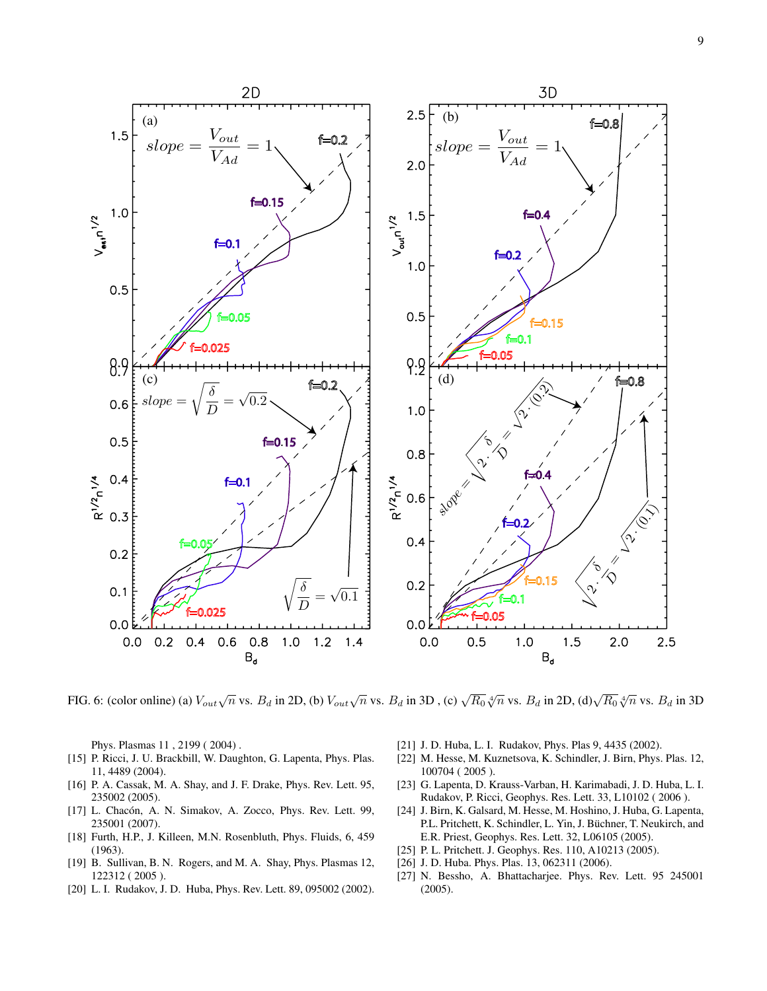9



<span id="page-8-13"></span>FIG. 6: (color online) (a)  $V_{out}\sqrt{n}$  vs.  $B_d$  in 2D, (b)  $V_{out}\sqrt{n}$  vs.  $B_d$  in 3D , (c)  $\sqrt{R_0} \sqrt[4]{n}$  vs.  $B_d$  in 2D, (d) $\sqrt{R_0} \sqrt[4]{n}$  vs.  $B_d$  in 3D

Phys. Plasmas 11 , 2199 ( 2004) .

- <span id="page-8-0"></span>[15] P. Ricci, J. U. Brackbill, W. Daughton, G. Lapenta, Phys. Plas. 11, 4489 (2004).
- <span id="page-8-1"></span>[16] P. A. Cassak, M. A. Shay, and J. F. Drake, Phys. Rev. Lett. 95, 235002 (2005).
- <span id="page-8-2"></span>[17] L. Chacón, A. N. Simakov, A. Zocco, Phys. Rev. Lett. 99, 235001 (2007).
- <span id="page-8-3"></span>[18] Furth, H.P., J. Killeen, M.N. Rosenbluth, Phys. Fluids, 6, 459 (1963).
- <span id="page-8-4"></span>[19] B. Sullivan, B. N. Rogers, and M. A. Shay, Phys. Plasmas 12, 122312 ( 2005 ).
- <span id="page-8-9"></span>[20] L. I. Rudakov, J. D. Huba, Phys. Rev. Lett. 89, 095002 (2002).
- <span id="page-8-10"></span>[21] J. D. Huba, L. I. Rudakov, Phys. Plas 9, 4435 (2002).
- <span id="page-8-11"></span>[22] M. Hesse, M. Kuznetsova, K. Schindler, J. Birn, Phys. Plas. 12, 100704 ( 2005 ).
- <span id="page-8-12"></span>[23] G. Lapenta, D. Krauss-Varban, H. Karimabadi, J. D. Huba, L. I. Rudakov, P. Ricci, Geophys. Res. Lett. 33, L10102 ( 2006 ).
- <span id="page-8-5"></span>[24] J. Birn, K. Galsard, M. Hesse, M. Hoshino, J. Huba, G. Lapenta, P.L. Pritchett, K. Schindler, L. Yin, J. Büchner, T. Neukirch, and E.R. Priest, Geophys. Res. Lett. 32, L06105 (2005).
- <span id="page-8-6"></span>[25] P. L. Pritchett. J. Geophys. Res. 110, A10213 (2005).
- <span id="page-8-7"></span>[26] J. D. Huba. Phys. Plas. 13, 062311 (2006).
- <span id="page-8-8"></span>[27] N. Bessho, A. Bhattacharjee. Phys. Rev. Lett. 95 245001 (2005).